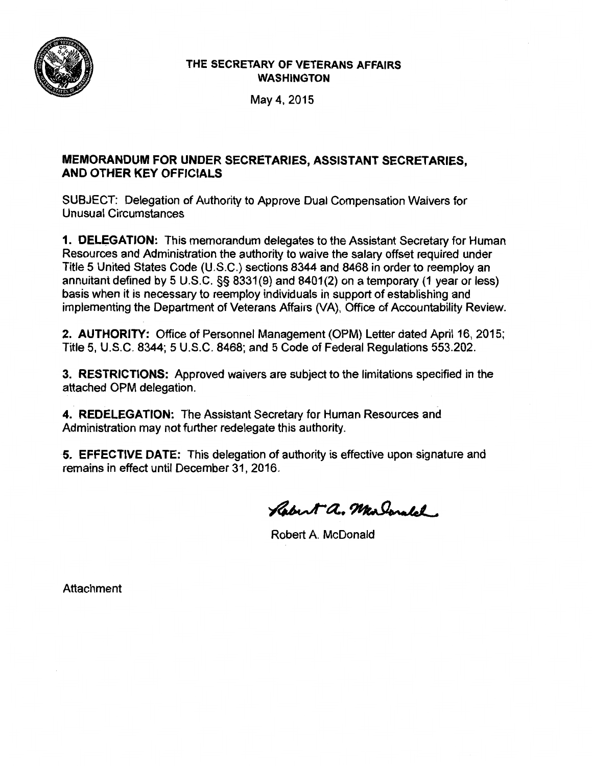

## THE SECRETARY OF VETERANS AFFAIRS WASHINGTON

May4, 2015

# MEMORANDUM FOR UNDER SECRETARIES, ASSISTANT SECRETARIES, AND OTHER KEY OFFICIALS

SUBJECT: Delegation of Authority to Approve Dual Compensation Waivers for Unusual Circumstances

1. DELEGATION: This memorandum delegates to the Assistant Secretary for Human Resources and Administration the authority to waive the salary offset required under Title 5 United States Code (U.S.C.) sections 8344 and 8468 in order to reemploy an annuitant defined by 5 U.S.C. §§ 8331(9) and 8401(2) on a temporary (1 year or less) basis when it is necessary to reemploy individuals in support of establishing and implementing the Department of Veterans Affairs (VA), Office of Accountability Review.

2. AUTHORITY: Office of Personnel Management (OPM) Letter dated April 16, 2015; Title 5, U.S.C. 8344; 5 U.S.C. 8468; and 5 Code of Federal Regulations 553.202.

3. RESTRICTIONS: Approved waivers are subject to the limitations specified in the attached OPM delegation.

4. REDELEGATION: The Assistant Secretary for Human Resources and Administration may not further redelegate this authority.

5. EFFECTIVE DATE: This delegation of authority is effective upon signature and remains in effect until December 31, 2016.

Rabert a. Marlonald.

Robert A. McDonald

Attachment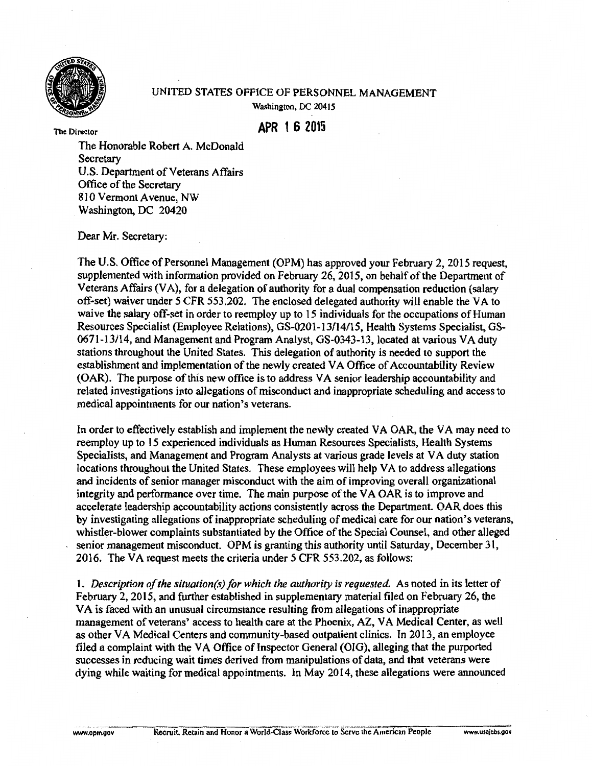

### UNITED STATES OFFICE OF PERSONNEL MANAGEMENT Washington, DC 20415

**APR 1 6 2015** 

The Director

The Honorable Robert A. McDonald **Secretary** U.S. Department of Veterans Affairs Office of the Secretary 810 Vermont Avenue, NW Washington, DC 20420

Dear Mr. Secretary:

The U.S. Office of Personnel Management (OPM) has approved your February 2, 2015 request, supplemented with information provided on February 26, 2015, on behalf of the Department of Veterans Affairs (VA), for a delegation of authority for a dual compensation reduction (salary off-set) waiver under 5 CFR 553.202. The enclosed delegated authority will enable the VA to waive the salary off-set in order to reemploy up to 15 individuals for the occupations of Human Resources Specialist (Employee Relations), GS-0201-13/14/I 5, Health Systems Specialist, GS-0671-13114, and Management and Program Analyst, GS-0343-13, located at various VA duty stations throughout the United States. This delegation of authority is needed to support the establishment and implementation of the newly created VA Office of Accountability Review (OAR). The purpose of this new office is to address VA senior leadership accountability and related investigations into allegations of misconduct and inappropriate scheduling and access to medical appointments for our nation's veterans.

In order to effectively establish and implement the newly created VA OAR, the VA may need to reemploy up to 15 experienced individuals as Human Resources Specialists, Health Systems Specialists, and Management and Program Analysts at various grade levels at VA duty station locations throughout the United States. These employees wilJ help VA to address allegations and incidents of senior manager misconduct with the aim of improving overall organizational integrity and performance over time. The main purpose of the VA OAR is to improve and accelerate leadership accountability actions consistently across the Department. OAR does this by investigating allegations of inappropriate scheduling of medical care for our nation's veterans, whistler-blower complaints substantiated by the Office of the Special Counsel, and other al1eged senior management misconduct. OPM is granting this authority until Saturday, December 31, 2016. The VA request meets the criteria under 5 CFR 553 .202, as follows:

I. *Description of the situation(s) for which the authority is requested.* As noted in its letter of February 2, 2015, and further established in supplementary material filed on February 26, the VA is faced with an unusual circumstance resulting from allegations of inappropriate management of veterans' access to health care at the Phoenix, AZ, VA Medical Center, as well as other VA Medical Centers and community-based outpatient clinics. In 2013, an employee filed a complaint with the VA Office of Inspector General (OIG), alleging that the purported successes in reducing wait times derived from manipulations of data, and that veterans were dying while waiting for medical appointments. In May 2014, these allegations were announced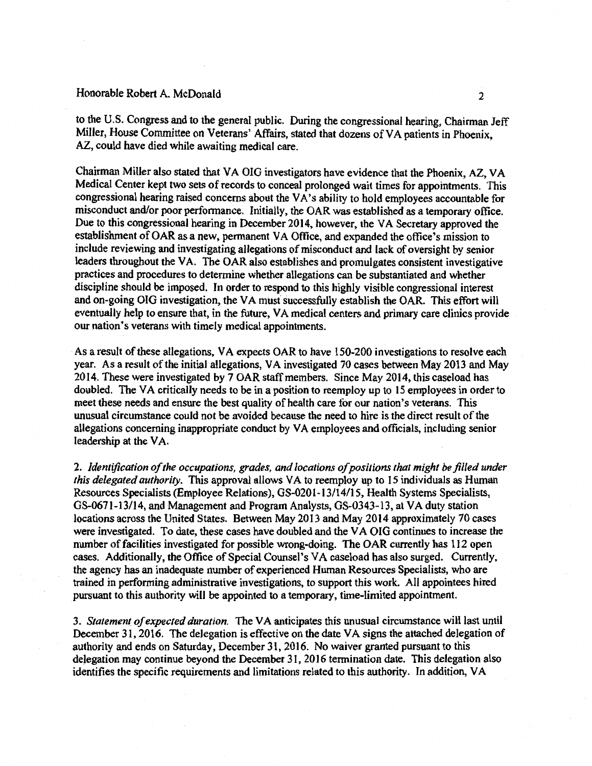#### Honorable Robert A. McDonald 2

to the U.S. Congress and to the general public. During the congressional hearing, Chairman Jeff Miller, House Committee on Veterans' Affairs, stated that dozens of VA patients in Phoenix, AZ, could have died while awaiting medical care.

Chairman Miller also stated that VA OIG investigators have evidence that the Phoenix, AZ, VA Medical Center kept two sets of records to conceal prolonged wait times for appointments. This congressional hearing raised concerns about the VA's ability to hold employees accountable for misconduct and/or poor performance. Initially, the OAR was established as a temporary office. Due to this congressional hearing in December 2014, however, the VA Secretary approved the establishment of OAR as a new, permanent VA Office, and expanded the office's mission to include reviewing and investigating allegations of misconduct and lack of oversight by senior leaders throughout the VA. The OAR also establishes and promulgates consistent investigative practices and procedures to determine whether allegations can be substantiated and whether discipline should be imposed. In order to respond to this highly visible congressional interest and on-going OIG investigation, the VA musf successfully establish the OAR. This effort will eventually help to ensure that, in the future, VA medical centers and primary care clinics provide our nation's veterans with timely medical appointments.

As a result of these allegations, VA expects OAR to have I 50-200 investigations to resolve each year. As a result of the initial allegations, VA investigated 70 cases between May 2013 and May 2014. These were investigated by 7 OAR staff members. Since May 2014, this caseload has doubled. The VA critically needs to be in a position to reemploy up to I *5* employees in order to meet these needs and ensure the best quality of health care for our nation's veterans. This unusual circumstance could not be avoided because the need to hire is the direct result of the allegations concerning inappropriate conduct by VA employees and officials, including senior leadership at the VA.

2. *Identification of the occupations, grades, and locations of positions that might be.filled under this delegated authority.* This approval allows VA to reemploy up to 15 individuals as Human Resources Specialists (Employee Relations), GS-0201-13/14/15, Health Systems Specialists, GS-0671-13/14, and Management and Program Analysts, GS-0343-13, at VA duty station locations across the United States. Between May 2013 and May 2014 approximately 70 cases were investigated. To date, these cases have doubled and the VA OIG continues to increase the number of facilities investigated for possible wrong-doing. The OAR currently has 112 open cases. Additionally, the Office of Special Counsel's VA caseload has also surged. Currently, the agency has an inadequate number of experienced Human Resources Specialists, who are trained in performing administrative investigations, to support this work. All appointees hired pursuant to this authority will be appointed to a temporary, time-limited appointment.

3. *Statemen( of expected duration.* The VA anticipates this unusual circumstance will last until December 31, 2016. The delegation is effective on the date VA signs the attached delegation of authority and ends on Saturday, December 31, 2016. No waiver granted pursuant to this delegation may continue beyond the December 31, 2016 termination date. This delegation also identifies the specific requirements and limitations related to this authority. In addition, VA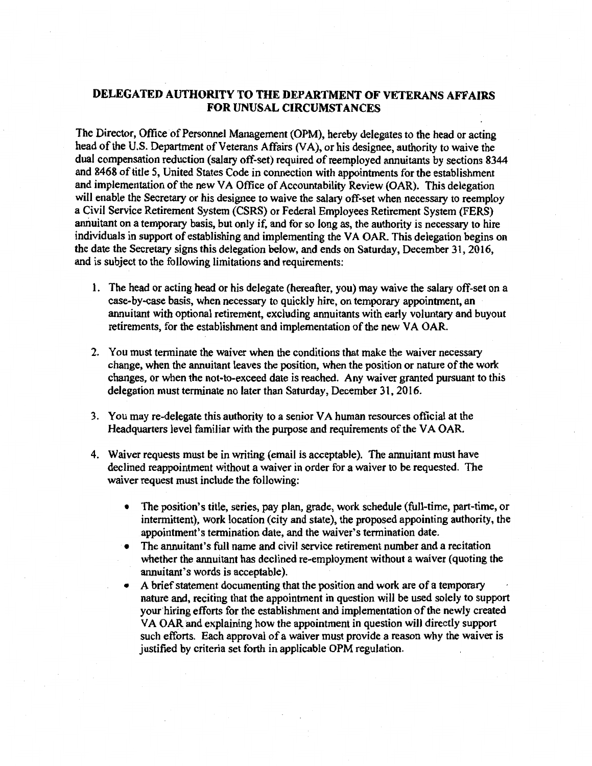### DELEGATED AUTHORITY TO THE DEPARTMENT OF VETERANS AFFAIRS FOR UNUSAL CIRCUMSTANCES

The Director, Office of Personnel Management (OPM), hereby delegates to the head or acting head of the U.S. Department of Veterans Affairs (VA), or his designee, authority to waive the dual compensation reduction (salary off-set) required of reemployed annuitants by sections 8344 and 8468 of title *5,* United States Code in connection with appointments for the establishment and implementation of the new VA Office of Accountability Review (OAR). This delegation will enable the Secretary or his designee to waive the salary off-set when necessary to reemploy a Civil Service Retirement System (CSRS) or Federal Employees Retirement System (FERS) annuitant on a temporary basis, but only if, and for so long as, the authority is necessary to hire individuals in support of establishing and implementing the VA OAR. This delegation begins on the date the Secretary signs this delegation below, and ends on Saturday, December 31, 2016, and is subject to the following limitations and requirements:

- 1. The head or acting head or his delegate (hereafter, you) may waive the salary off-set on a case-by-case basis, when necessary to quickly hire, on temporary appointment, an annuitant with optional retirement, excluding annuitants with early voluntary and buyout retirements, for the establishment and implementation of the new VA OAR.
- 2. You must terminate the waiver when the conditions that make the waiver necessary change, when the annuitant leaves the position, when the position or nature of the work changes, or when the not-to-exceed date is reached. Any waiver granted pursuant to this delegation must terminate no later than Saturday, December 31, 2016.
- 3. You may re-delegate this authority to a senior VA human resources official at the Headquarters level familiar with the purpose and requirements of the VA OAR.
- 4. Waiver requests must be in writing (email is acceptable). The annuitant must have declined reappointment without a waiver in order for a waiver to be requested. The waiver request must include the following:
	- The position's title, series, pay plan, grade, work schedule (full-time, part-time, or intermittent), work location (city and state), the proposed appointing authority, the appointment's termination date, and the waiver's termination date.
	- The annuitant's full name and civil service retirement number and a recitation whether the annuitant has declined re-employment without a waiver (quoting the annuitant's words is acceptable).
	- A brief statement documenting that the position and work are of a temporary nature and, reciting that the appointment in question will be used solely to support your hiring efforts for the establishment and implementation of the newly created VA OAR and explaining how the appointment in question will directly support such efforts. Each approval of a waiver must provide a reason why the waiver is justified by criteria set forth in applicable OPM regulation.